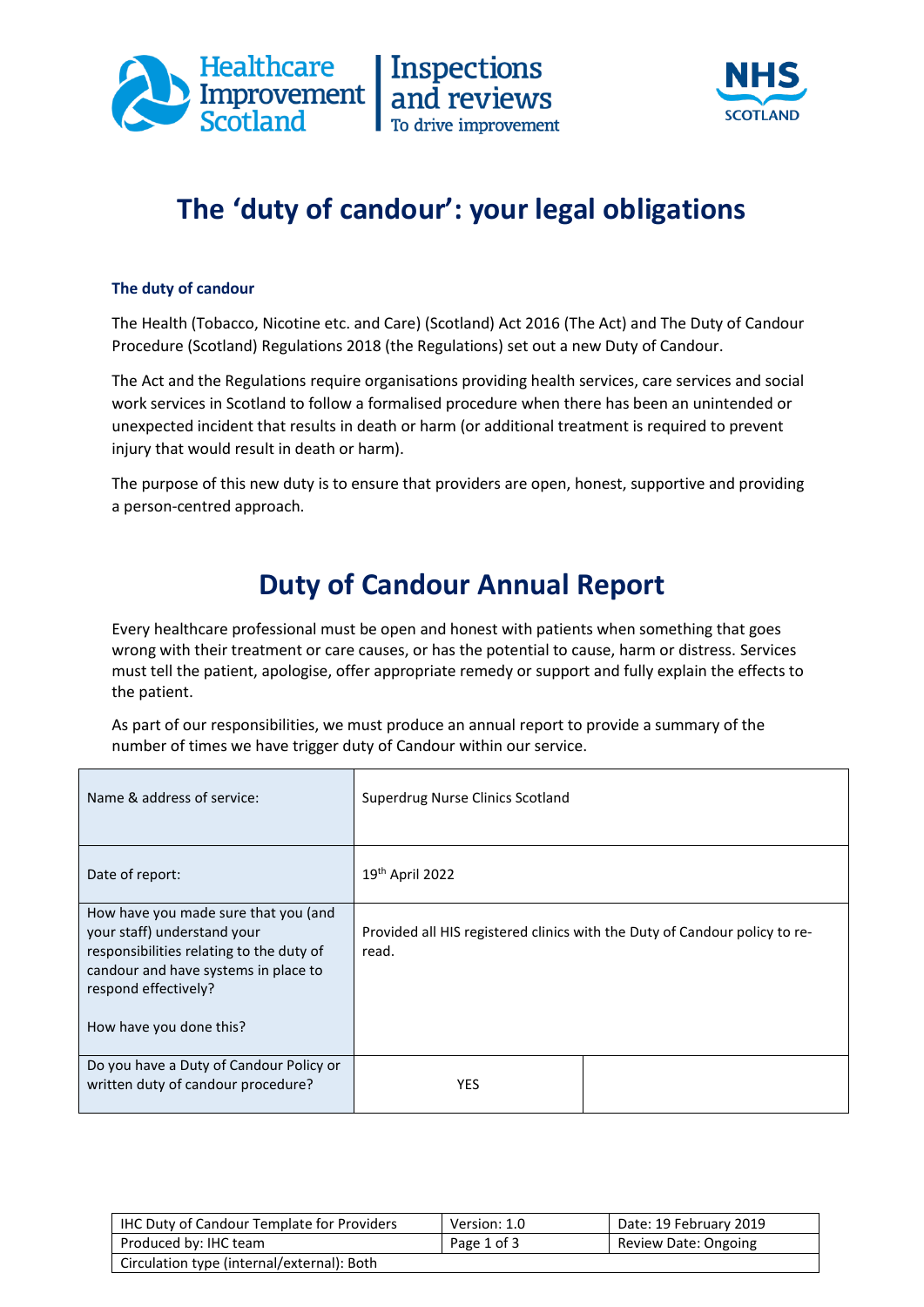



## **The 'duty of candour': your legal obligations**

## **The duty of candour**

The Health (Tobacco, Nicotine etc. and Care) (Scotland) Act 2016 (The Act) and The Duty of Candour Procedure (Scotland) Regulations 2018 (the Regulations) set out a new Duty of Candour.

The Act and the Regulations require organisations providing health services, care services and social work services in Scotland to follow a formalised procedure when there has been an unintended or unexpected incident that results in death or harm (or additional treatment is required to prevent injury that would result in death or harm).

The purpose of this new duty is to ensure that providers are open, honest, supportive and providing a person-centred approach.

## **Duty of Candour Annual Report**

Every healthcare professional must be open and honest with patients when something that goes wrong with their treatment or care causes, or has the potential to cause, harm or distress. Services must tell the patient, apologise, offer appropriate remedy or support and fully explain the effects to the patient.

As part of our responsibilities, we must produce an annual report to provide a summary of the number of times we have trigger duty of Candour within our service.

| Name & address of service:                                                                                                                                                                                 | Superdrug Nurse Clinics Scotland |                                                                            |
|------------------------------------------------------------------------------------------------------------------------------------------------------------------------------------------------------------|----------------------------------|----------------------------------------------------------------------------|
| Date of report:                                                                                                                                                                                            | $19th$ April 2022                |                                                                            |
| How have you made sure that you (and<br>your staff) understand your<br>responsibilities relating to the duty of<br>candour and have systems in place to<br>respond effectively?<br>How have you done this? | read.                            | Provided all HIS registered clinics with the Duty of Candour policy to re- |
| Do you have a Duty of Candour Policy or<br>written duty of candour procedure?                                                                                                                              | <b>YES</b>                       |                                                                            |

| <b>IHC Duty of Candour Template for Providers</b> | Version: 1.0 | Date: 19 February 2019 |
|---------------------------------------------------|--------------|------------------------|
| Produced by: IHC team                             | Page 1 of 3  | Review Date: Ongoing   |
| Circulation type (internal/external): Both        |              |                        |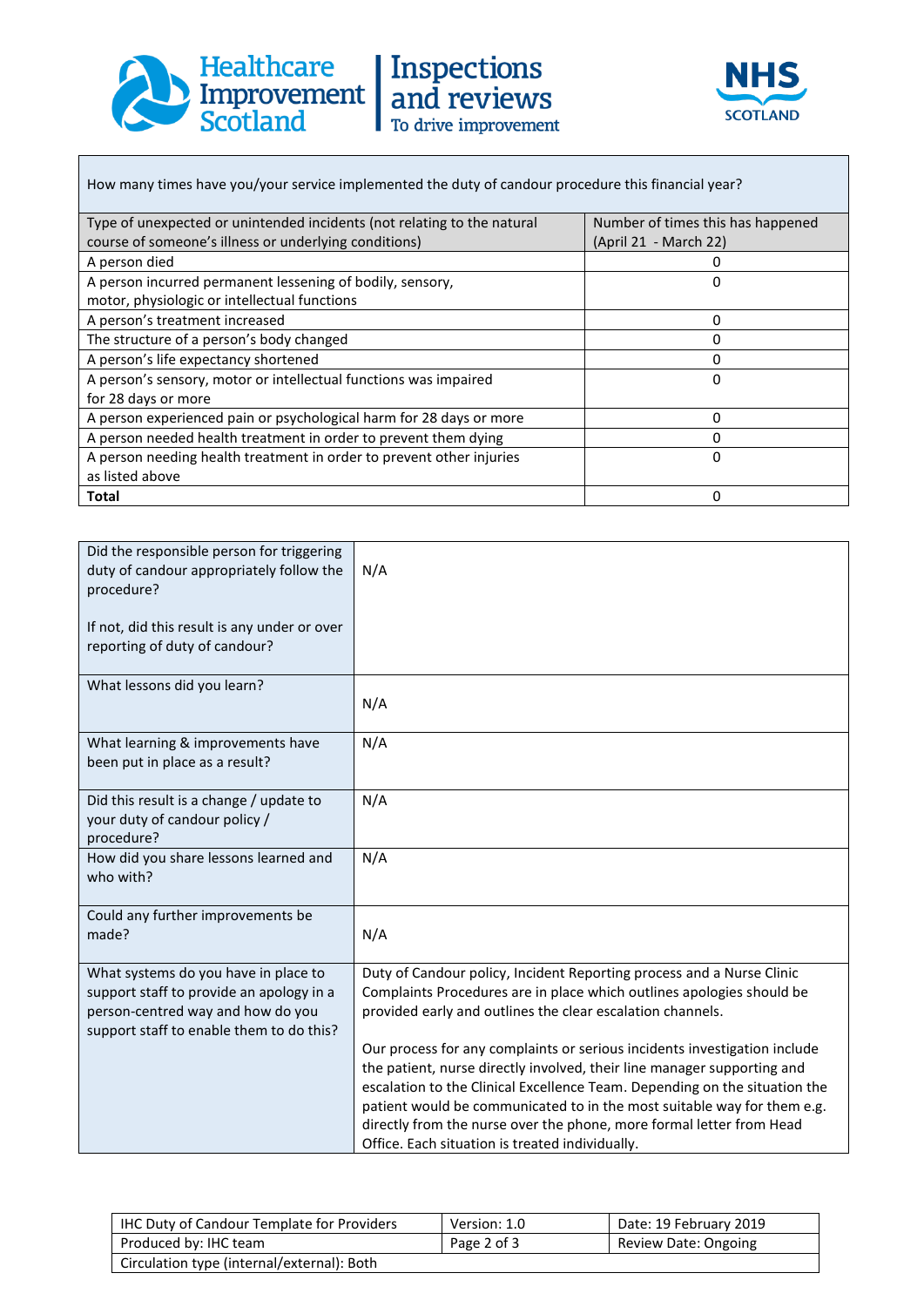





How many times have you/your service implemented the duty of candour procedure this financial year?

| Type of unexpected or unintended incidents (not relating to the natural | Number of times this has happened |  |
|-------------------------------------------------------------------------|-----------------------------------|--|
| course of someone's illness or underlying conditions)                   | (April 21 - March 22)             |  |
| A person died                                                           |                                   |  |
| A person incurred permanent lessening of bodily, sensory,               | 0                                 |  |
| motor, physiologic or intellectual functions                            |                                   |  |
| A person's treatment increased                                          | 0                                 |  |
| The structure of a person's body changed                                |                                   |  |
| A person's life expectancy shortened                                    | 0                                 |  |
| A person's sensory, motor or intellectual functions was impaired        | 0                                 |  |
| for 28 days or more                                                     |                                   |  |
| A person experienced pain or psychological harm for 28 days or more     | 0                                 |  |
| A person needed health treatment in order to prevent them dying         |                                   |  |
| A person needing health treatment in order to prevent other injuries    | <sup>0</sup>                      |  |
| as listed above                                                         |                                   |  |
| <b>Total</b>                                                            | $\Omega$                          |  |

| Did the responsible person for triggering<br>duty of candour appropriately follow the<br>procedure?<br>If not, did this result is any under or over<br>reporting of duty of candour? | N/A                                                                                                                                                   |
|--------------------------------------------------------------------------------------------------------------------------------------------------------------------------------------|-------------------------------------------------------------------------------------------------------------------------------------------------------|
| What lessons did you learn?                                                                                                                                                          | N/A                                                                                                                                                   |
| What learning & improvements have<br>been put in place as a result?                                                                                                                  | N/A                                                                                                                                                   |
| Did this result is a change / update to<br>your duty of candour policy /<br>procedure?                                                                                               | N/A                                                                                                                                                   |
| How did you share lessons learned and<br>who with?                                                                                                                                   | N/A                                                                                                                                                   |
| Could any further improvements be<br>made?                                                                                                                                           | N/A                                                                                                                                                   |
| What systems do you have in place to<br>support staff to provide an apology in a                                                                                                     | Duty of Candour policy, Incident Reporting process and a Nurse Clinic<br>Complaints Procedures are in place which outlines apologies should be        |
| person-centred way and how do you<br>support staff to enable them to do this?                                                                                                        | provided early and outlines the clear escalation channels.                                                                                            |
|                                                                                                                                                                                      | Our process for any complaints or serious incidents investigation include                                                                             |
|                                                                                                                                                                                      | the patient, nurse directly involved, their line manager supporting and<br>escalation to the Clinical Excellence Team. Depending on the situation the |
|                                                                                                                                                                                      | patient would be communicated to in the most suitable way for them e.g.                                                                               |
|                                                                                                                                                                                      | directly from the nurse over the phone, more formal letter from Head<br>Office. Each situation is treated individually.                               |

| IHC Duty of Candour Template for Providers | Version: 1.0 | Date: 19 February 2019 |
|--------------------------------------------|--------------|------------------------|
| Produced by: IHC team                      | Page 2 of 3  | Review Date: Ongoing   |
| Circulation type (internal/external): Both |              |                        |